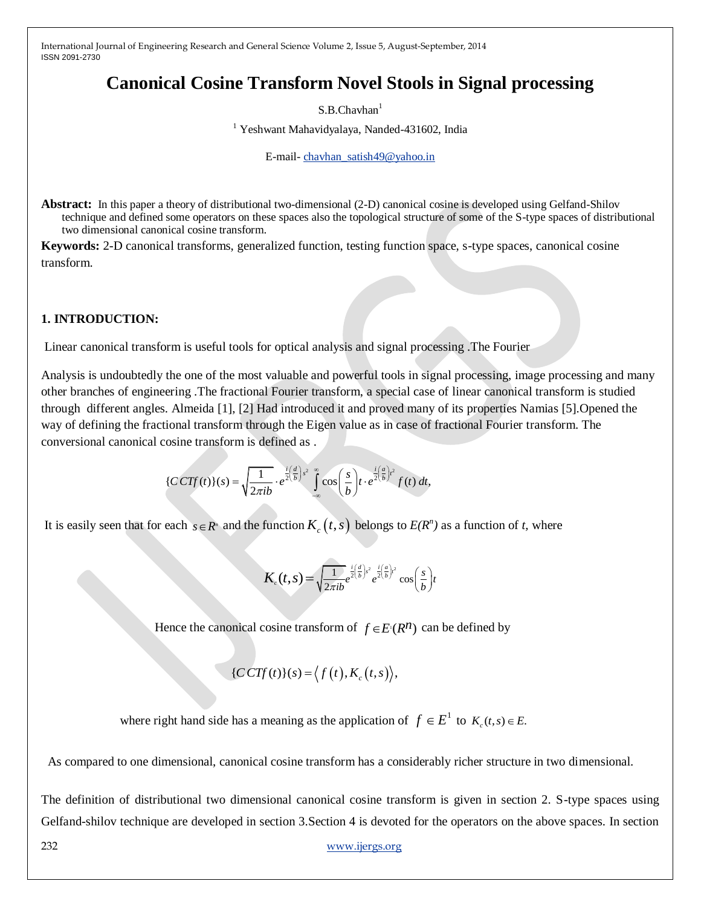# **Canonical Cosine Transform Novel Stools in Signal processing**

 $S.B.Chavhan<sup>1</sup>$ 

<sup>1</sup> Yeshwant Mahavidyalaya, Nanded-431602, India

E-mail- [chavhan\\_satish49@yahoo.in](mailto:chavhan_satish49@yahoo.in)

**Abstract:** In this paper a theory of distributional two-dimensional (2-D) canonical cosine is developed using Gelfand-Shilov technique and defined some operators on these spaces also the topological structure of some of the S-type spaces of distributional two dimensional canonical cosine transform.

**Keywords:** 2-D canonical transforms, generalized function, testing function space, s-type spaces, canonical cosine transform.

### **1. INTRODUCTION:**

Linear canonical transform is useful tools for optical analysis and signal processing .The Fourier

Analysis is undoubtedly the one of the most valuable and powerful tools in signal processing, image processing and many other branches of engineering .The fractional Fourier transform, a special case of linear canonical transform is studied through different angles. Almeida [1], [2] Had introduced it and proved many of its properties Namias [5].Opened the way of defining the fractional transform through the Eigen value as in case of fractional Fourier transform. The conversional canonical cosine transform is defined as .

$$
\{CCTf(t)\}(s) = \sqrt{\frac{1}{2\pi ib}} \cdot e^{\frac{i}{2} \left(\frac{d}{b}\right)s^2} \int_{-\infty}^{\infty} \cos\left(\frac{s}{b}\right) t \cdot e^{\frac{i}{2} \left(\frac{a}{b}\right)^2} f(t) dt,
$$

It is easily seen that for each  $s \in R^n$  and the function  $K_c(t, s)$  belongs to  $E(R^n)$  as a function of *t*, where

$$
K_{c}(t,s) = \sqrt{\frac{1}{2\pi i b}} e^{\frac{i}{2}(\frac{d}{b})^{2}} e^{\frac{i}{2}(\frac{a}{b})^{2}} \cos\left(\frac{s}{b}\right)t
$$

Hence the canonical cosine transform of  $f \in E^{n}(R^n)$  can be defined by

$$
\{CCTf(t)\}(s) = \langle f(t), K_c(t,s) \rangle,
$$

where right hand side has a meaning as the application of  $f \in E^1$  to  $K_c(t, s) \in E$ .

As compared to one dimensional, canonical cosine transform has a considerably richer structure in two dimensional.

The definition of distributional two dimensional canonical cosine transform is given in section 2. S-type spaces using Gelfand-shilov technique are developed in section 3.Section 4 is devoted for the operators on the above spaces. In section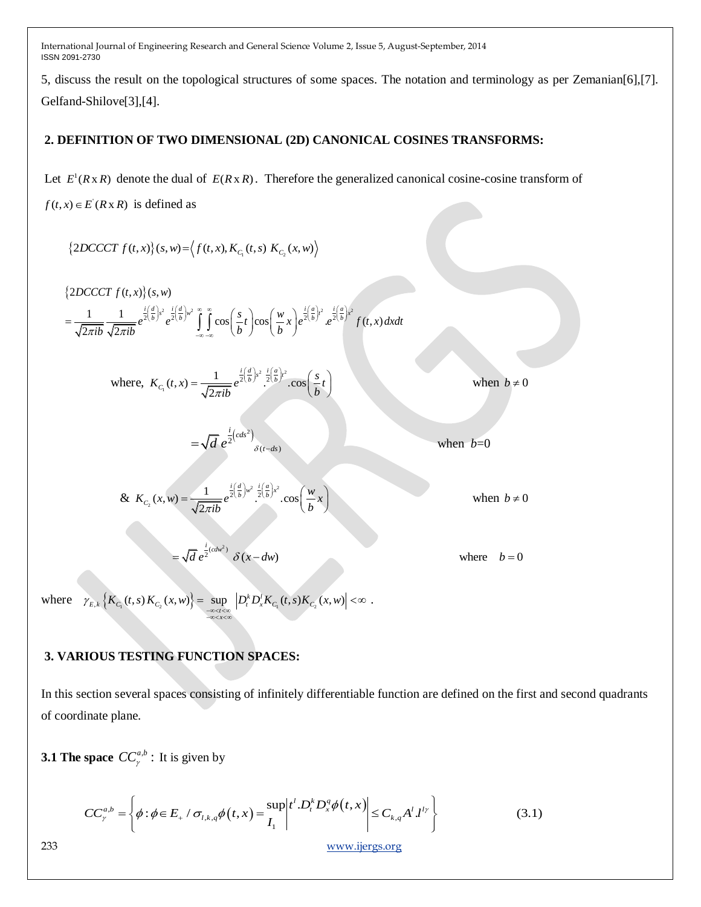5, discuss the result on the topological structures of some spaces. The notation and terminology as per Zemanian[6],[7]. Gelfand-Shilove[3],[4].

## **2. DEFINITION OF TWO DIMENSIONAL (2D) CANONICAL COSINES TRANSFORMS:**

Let  $E^1(R \times R)$  denote the dual of  $E(R \times R)$ . Therefore the generalized canonical cosine-cosine transform of  $f(t, x) \in E(R \times R)$  is defined as

$$
\left\{2DCCCT\,f(t,x)\right\}(s,w) = \left\langle f(t,x), K_{C_1}(t,s)\;K_{C_2}(x,w)\right\rangle
$$

$$
\begin{aligned} \n\left\{2DCCT\ f(t,x)\right\}(s,w) \\ \n&= \frac{1}{\sqrt{2\pi ib}} \frac{1}{\sqrt{2\pi ib}} e^{\frac{i}{2}\left(\frac{d}{b}\right)s^2} e^{\frac{i}{2}\left(\frac{d}{b}\right)w^2} \int_{-\infty}^{\infty} \cos\left(\frac{s}{b}t\right) \cos\left(\frac{w}{b}x\right) e^{\frac{i}{2}\left(\frac{a}{b}\right)^2} \cdot e^{\frac{i}{2}\left(\frac{a}{b}\right)^2} f(t,x) \, dx \, dt \n\end{aligned}
$$

where, 
$$
K_{C_1}(t, x) = \frac{1}{\sqrt{2\pi ib}} e^{\frac{i}{2} \left(\frac{d}{b}\right)s^2} \cdot \frac{i}{2} \left(\frac{a}{b}\right)^2 \cdot \cos\left(\frac{s}{b}t\right)
$$

when  $b \neq 0$ 

& 
$$
K_{C_2}(x, w) = \frac{1}{\sqrt{2\pi ib}} e^{\frac{i}{2} \left(\frac{d}{b}\right) w^2} \cdot \frac{i}{2} \left(\frac{a}{b}\right) x^2} \cdot \cos\left(\frac{w}{b}x\right)
$$

 $\frac{1}{2}\left( cds^2\right)$ 

 $=\sqrt{d} e^{\frac{i}{2}(cds^2)}$ <sub> $\delta(t-ds)$ </sub>

 $\delta(t-ds)$ 

 $=\sqrt{d} e^{\frac{i}{2}(cdw^2)} \delta(x-dw)$  where  $b=0$ 

when  $b=0$ 

when  $b \neq 0$ 

where  $\gamma_{E,k} \left\{ K_{C_1}(t,s) K_{C_2}(x,w) \right\} = \sup_{\substack{x \to z \to \infty \\ x \to z \times x \times x}} \left[ D_t^k D_x^l K_{C_1}(t,s) K_{C_2}(x,w) \right]$ =  $\sup_{x \to \infty} |D_t^k D_x^l K_{C_1}(t,s) K_{C_2}(x,w)| < \infty$ .

## **3. VARIOUS TESTING FUNCTION SPACES:**

In this section several spaces consisting of infinitely differentiable function are defined on the first and second quadrants of coordinate plane.

**3.1 The space**  $CC^{a,b}_{\gamma}$ : It is given by

**3.1 The space** 
$$
CC_{\gamma}^{a,b} = \left\{ \phi : \phi \in E_+ \; / \; \sigma_{l,k,q} \phi(t,x) = \sup_{I_1} \left| t^l \cdot D_t^k D_x^q \phi(t,x) \right| \leq C_{k,q} A^l J^{l\gamma} \right\}
$$
(3.1)  
233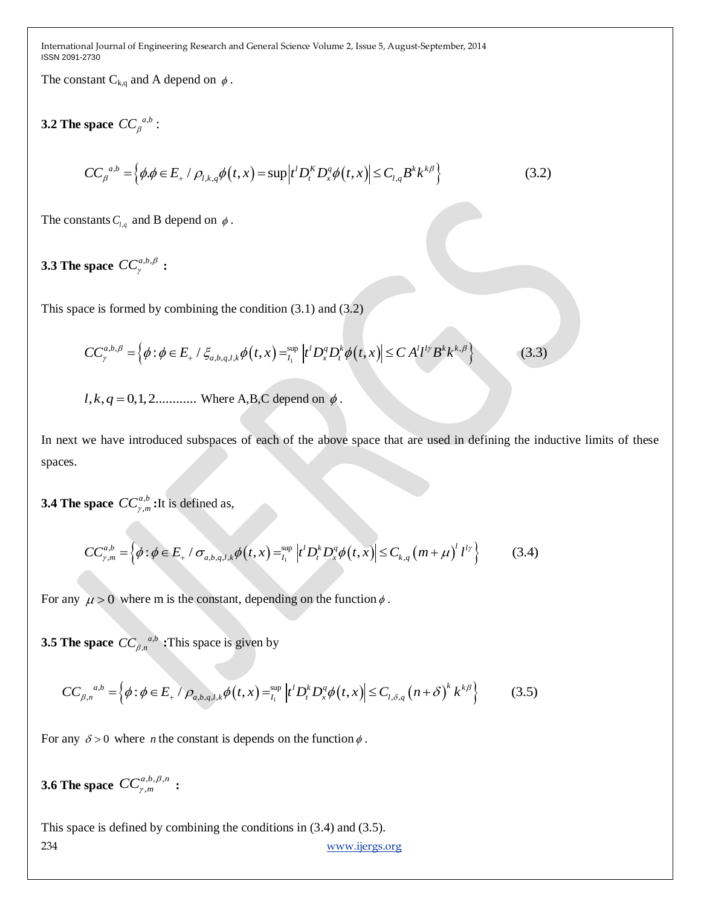The constant  $C_{k,q}$  and A depend on  $\phi$ .

**3.2** The space  $CC_{\beta}^{a,b}$ :

space 
$$
CC_{\beta}^{a,b}
$$
:  
\n
$$
CC_{\beta}^{a,b} = \left\{ \phi, \phi \in E_+ / \rho_{l,k,q} \phi(t,x) = \sup |t^l D_t^K D_x^q \phi(t,x)| \le C_{l,q} B^k k^{k\beta} \right\}
$$
\n(3.2)

The constants  $C_{l,q}$  and B depend on  $\phi$ .

# **3.3** The space  $CC^{a,b,\beta}_{\gamma}$  :

This space is formed by combining the condition (3.1) and (3.2)

ce is formed by combining the condition (3.1) and (3.2)  
\n
$$
CC_{\gamma}^{a,b,\beta} = \left\{ \phi : \phi \in E_+ \; / \; \xi_{a,b,q,l,k} \phi\big(t, x\big) = \sum_{l_1}^{\sup} \left| t^l D_x^q D_t^k \phi\big(t, x\big) \right| \le C A^l l^{l\gamma} B^k k^{k,\beta} \right\}
$$
\n(3.3)

 $l, k, q = 0, 1, 2...$  Where A,B,C depend on  $\phi$ .

In next we have introduced subspaces of each of the above space that are used in defining the inductive limits of these spaces.

**3.4 The space**  $CC_v^a$ ,  $CC^{a,b}_{\gamma,m}$ : It is defined as,

space 
$$
CC_{\gamma,m}^{a,b}
$$
:It is defined as,  
\n
$$
CC_{\gamma,m}^{a,b} = \left\{ \phi : \phi \in E_+ \; / \; \sigma_{a,b,q,l,k} \phi(t,x) = \int_{t_1}^{\sup} \left| t^l D_t^k D_x^q \phi(t,x) \right| \le C_{k,q} \left( m + \mu \right)^l l^{l\gamma} \right\}
$$
\n(3.4)

For any  $\mu > 0$  where m is the constant, depending on the function  $\phi$ .

**3.5 The space**  $CC_{B,n}^{a}$ 

**The space** 
$$
CC_{\beta,n}^{a,b}
$$
: This space is given by  
\n
$$
CC_{\beta,n}^{a,b} = \left\{ \phi : \phi \in E_+ / \rho_{a,b,q,l,k} \phi(t,x) = \sum_{l_1}^{\text{sup}} \left| t^l D_t^k D_x^q \phi(t,x) \right| \le C_{l,\delta,q} \left( n + \delta \right)^k k^{k\beta} \right\}
$$
(3.5)

For any  $\delta > 0$  where *n* the constant is depends on the function  $\phi$ .

**3.6 The space**  $CC^{a,b,\beta}_{\gamma,m}$  $CC^{a,b,\beta,n}_{\gamma,m}$  $\begin{array}{rcl} \n\mu, \nu, \rho, n \\ \n\gamma, m \n\end{array}$ :

234 [www.ijergs.org](http://www.ijergs.org/) This space is defined by combining the conditions in (3.4) and (3.5).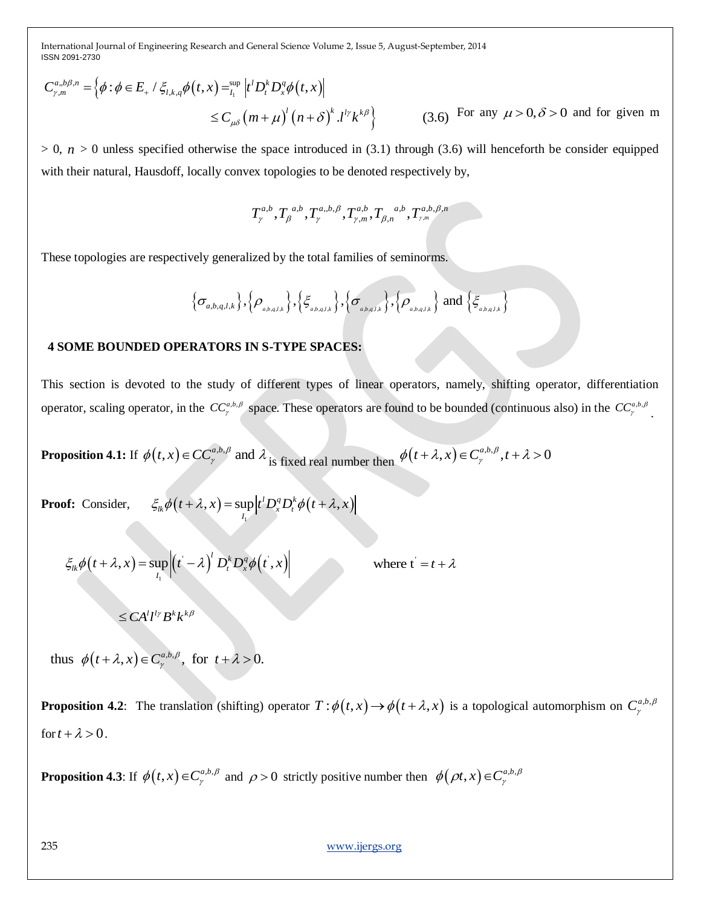S818209-2780  
\n
$$
C_{\mu\nu}^{a,b,\beta,\sigma} = \left\{\phi : \phi \in E_+ / \xi_{i,\lambda,\phi} \phi(t,x) =_{i_1}^{a_0} |\rho' D_i^b D_i^a \phi(t,x)|\right\}
$$
\n
$$
\leq C_{\mu\nu} (m + \mu)^i (n + \delta)^i L^i \kappa^{k/\theta} \qquad (3.6) \text{ For any } \mu > 0, \delta > 0 \text{ and for given } m
$$
\n⇒ 0, *n* > 0 unless specified otherwise the space introduced in (3.1) through (3.6) will henceforth be considered equipped with their natural, Hausdoff, locally convex topologies to be denoted respectively by,  
\n
$$
T_{\mu}^{a,b} T_{\mu}^{a,b} \sigma_{\mu}^{a,b} T_{\mu}^{a,b} \sigma_{\mu}^{a,b} T_{\mu}^{a,b} \sigma_{\mu}^{a,b} T_{\mu}^{a,b} \sigma_{\mu}^{a,b} T_{\mu}^{a,b} \sigma_{\mu}^{a,b} T_{\mu}^{a,b} \sigma_{\mu}^{a,b} T_{\mu}^{a,b} \sigma_{\mu}^{a,b} T_{\mu}^{a,b} \sigma_{\mu}^{a,b} T_{\mu}^{a,b} \sigma_{\mu}^{a,b} T_{\mu}^{a,b} \sigma_{\mu}^{a,b} T_{\mu}^{a,b} \sigma_{\mu}^{a,b} T_{\mu}^{a,b} \sigma_{\mu}^{a,b} T_{\mu}^{a,b} \sigma_{\mu}^{a,b} T_{\mu}^{a,b} \sigma_{\mu}^{a,b} T_{\mu}^{a,b} \sigma_{\mu}^{a,b} T_{\mu}^{a,b} \sigma_{\mu}^{a,b} T_{\mu}^{a,b} \sigma_{\mu}^{a,b} T_{\mu}^{a,b} \sigma_{\mu}^{a,b} T_{\mu}^{a,b} \sigma_{\mu}^{a,b} T_{\mu}^{a,b} \sigma_{\mu}^{a,b} T_{\mu}^{a,b} \sigma_{\mu}^{a,b} T_{\mu}^{a,b} \sigma_{\mu}^{a,b} T_{\mu}^{a,b} \sigma_{\mu}^{a,b} T_{\mu}^{a,b} \sigma_{\mu}^{a,b} T_{\mu}^{a,b} \sigma_{\mu}^{a,b} T_{\mu}^{a,b} \sigma_{\mu}^{a,b} T_{\mu}^{a,b} \sigma_{\mu}^{a
$$

 $> 0$ ,  $n > 0$  unless specified otherwise the space introduced in (3.1) through (3.6) will henceforth be consider equipped with their natural, Hausdoff, locally convex topologies to be denoted respectively by,

$$
T_{\gamma}^{a,b}, T_{\beta}{}^{a,b}, T_{\gamma}^{a,b,\beta}, T_{\gamma,m}^{a,b}, T_{\beta,n}{}^{a,b}, T_{\gamma,m}^{a,b,\beta,n}
$$

These topologies are respectively generalized by the total families of seminorms.

$$
\{\sigma_{a,b,q,l,k}\},\{\rho_{a,b,q,l,k}\},\{\xi_{a,b,q,l,k}\},\{\sigma_{a,b,q,l,k}\},\{\rho_{a,b,q,l,k}\}\text{ and }\{\xi_{a,b,q,l,k}\}
$$

### **4 SOME BOUNDED OPERATORS IN S-TYPE SPACES:**

This section is devoted to the study of different types of linear operators, namely, shifting operator, differentiation operator, scaling operator, in the  $CC^{a,b,\beta}_\gamma$  space. These operators are found to be bounded (continuous also) in the  $CC^{a,b,\beta}_\gamma$ .

**Proposition 4.1:** If  $\phi(t, x) \in CC^{a,b,\beta}_\gamma$  and  $\lambda$  is fixed real number then  $\phi(t + \lambda, x) \in C^{a,b,\beta}_\gamma, t + \lambda > 0$ 

**Proof:** Consider,  $\xi_{lk}\phi(t+\lambda,x) = \sup |t^l D_x^q D_t^k \phi(t+\lambda,x)|$  $\mathcal{E}_{lk}\phi(t+\lambda,x)=\sup_{I_1}\left|t^tD_x^qD_x^k\phi(t+\lambda,x)\right|$ 

 $\xi_{lk}\phi(t+\lambda,x)=\sup[(t-\lambda) D_t^k D_x^q\phi(t,x)]$  $\mathbf{L}(\mathbf{x},t) = \sup_{I_1} \left| \left( t - \lambda \right)^l D_t^k D_x^q \phi \right| (t),$  $\int$ <sup>*l*</sup>  $D$ <sup>*k*</sup> $D$ <sup>*q*</sup>  $\mathcal{E}_{lk}\phi(t+\lambda,x)=\sup_{t_1}\left|\left(t'-\lambda\right)^lD_t^kD_x^q\phi(t',x)\right|$ where  $t' = t + \lambda$ 

thus  $\phi(t + \lambda, x) \in C^{a,b,\beta}_\gamma$ , for  $t + \lambda > 0$ .

**Proposition 4.2**: The translation (shifting) operator  $T : \phi(t, x) \to \phi(t + \lambda, x)$  is a topological automorphism on  $C^{a,b,\beta}_\gamma$ γ for  $t + \lambda > 0$ .

**Proposition 4.3**: If  $\phi(t, x) \in C^{a,b,\beta}_\gamma$  and  $\rho > 0$  strictly positive number then  $\phi(\rho t, x) \in C^{a,b,\beta}_\gamma$ 

 $\leq C A^l l^{l \gamma} B^k k^{k \beta}$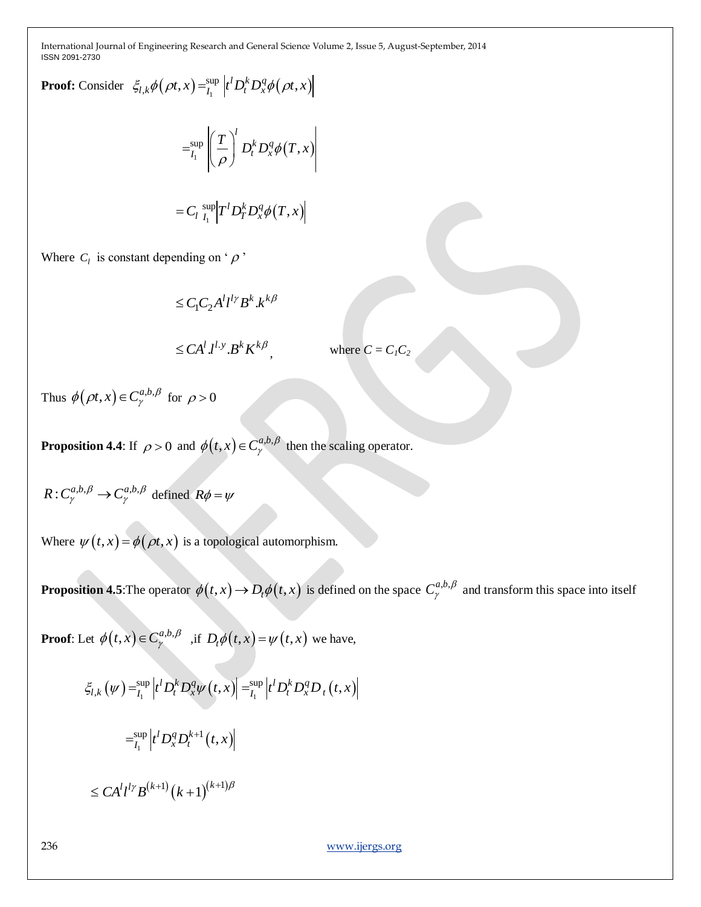**Proof:** Consider 
$$
\xi_{l,k}\phi(\rho t, x) = \lim_{I_1} |t^l D_t^k D_x^q \phi(\rho t, x)|
$$
  

$$
= \lim_{I_1} \left| \left( \frac{T}{\rho} \right)^l D_t^k D_x^q \phi(T, x) \right|
$$

$$
= C_l \sup_{I_1} \left| T^l D_T^k D_x^q \phi(T, x) \right|
$$
  
Where  $C_l$  is constant depending on ' $\rho$ '

$$
\leq C_1 C_2 A^l l^{l\gamma} B^k . k^{k\beta}
$$

$$
\leq C A^l \, J^{l \cdot y} \, B^k \, K^{k \beta} \qquad \qquad \text{where } C = C_l C_2
$$

Thus  $\phi(\rho t, x) \in C^{a,b,\beta}_\gamma$  for  $\rho > 0$ 

**Proposition 4.4:** If  $\rho > 0$  and  $\phi(t, x) \in C^{a,b,\beta}_{\gamma}$  then the scaling operator.

$$
R: C_{\gamma}^{a,b,\beta} \to C_{\gamma}^{a,b,\beta} \text{ defined } R\phi = \psi
$$

Where  $\psi(t, x) = \phi(\rho t, x)$  is a topological automorphism.

**Proposition 4.5**: The operator  $\phi(t, x) \to D_t \phi(t, x)$  is defined on the space  $C^{a,b,\beta}_{\gamma}$  $a^{a,b,p}_{\gamma}$  and transform this space into itself

**Proof**: Let  $\phi(t, x) \in C^{a,b,\beta}_\gamma$  , if  $D_t \phi(t, x) = \psi(t, x)$  we have,

$$
\xi_{l,k}(\psi) = \sum_{l_1}^{\text{sup}} \left| t^l D_t^k D_x^q \psi(t, x) \right| = \sum_{l_1}^{\text{sup}} \left| t^l D_t^k D_x^q D_t(t, x) \right|
$$

$$
= \sum_{l_1}^{\text{sup}} \left| t^l D_x^q D_t^{k+1}(t, x) \right|
$$

$$
\leq C A^l l^{l\gamma} B^{(k+1)} (k+1)^{(k+1)\beta}
$$

236 [www.ijergs.org](http://www.ijergs.org/)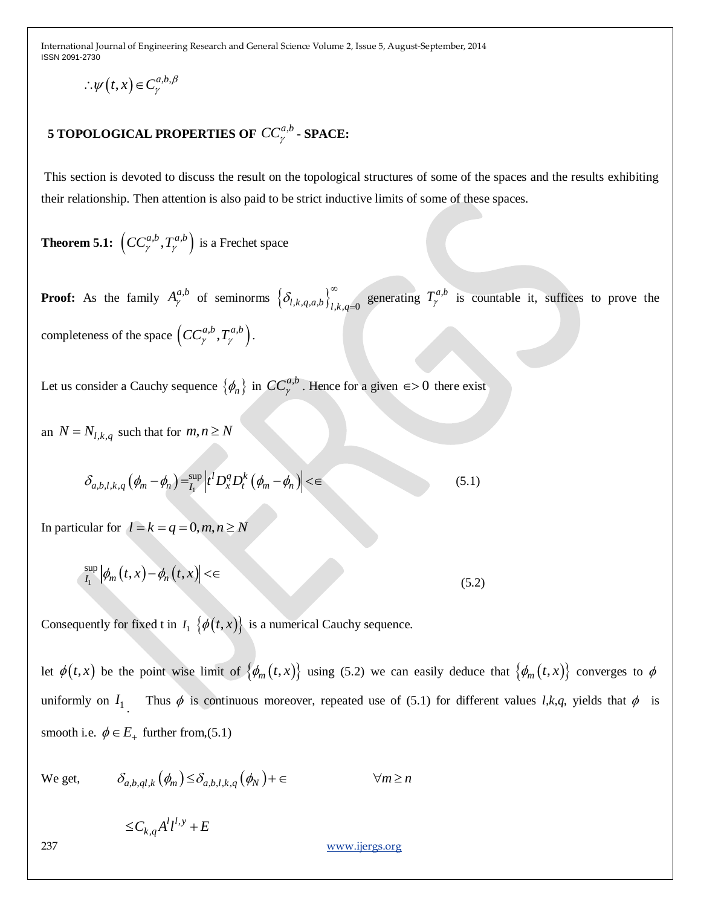$$
\therefore \psi(t,x) \in C^{a,b,\beta}_{\gamma}
$$

# **5 TOPOLOGICAL PROPERTIES OF**  $\mathit{CC}_{\gamma}^{a,b}$  **- SPACE:**

This section is devoted to discuss the result on the topological structures of some of the spaces and the results exhibiting their relationship. Then attention is also paid to be strict inductive limits of some of these spaces.

**Theorem 5.1:**  $\left(CC^{a,b}_{\gamma}, T^{a,b}_{\gamma}\right)$  is a Frechet space

**Proof:** As the family  $A^{a,b}_{\gamma}$  of seminorms  $\left\{\delta_{l,k,q,a,b}\right\}_{l,k,q=0}^{\infty}$ generating  $T_{\gamma}^{a,b}$  is countable it, suffices to prove the completeness of the space  $\left( CC^{a,b}_{\gamma}, T^{a,b}_{\gamma} \right)$ .

Let us consider a Cauchy sequence  $\{\phi_n\}$  in  $CC^{a,b}_\gamma$ . Hence for a given  $\epsilon > 0$  there exist

an  $N = N_{l,k,q}$  such that for  $m, n \ge N$ 

$$
\delta_{a,b,l,k,q} \left( \phi_m - \phi_n \right) = \sup_{I_1} \left| t^l D_x^q D_t^k \left( \phi_m - \phi_n \right) \right| < \in \tag{5.1}
$$

In particular for  $l = k = q = 0, m, n \ge N$ 

$$
\sup_{I_1} |\phi_m(t,x) - \phi_n(t,x)| < \epsilon \tag{5.2}
$$

Consequently for fixed t in  $I_1 \{ \phi(t, x) \}$  is a numerical Cauchy sequence.

 $\therefore$  *w*(*t*,*x*) ∈ *C*<sup>n</sup><sub>*g*</sub>*n B*<br>
5 **TOPOLOGICAL PROPERTIES OF** *CC*<sub>*g*</sub><sup>*n*</sup> **- SPACE:**<br>
This section is devoted to discuss the result on the topological structure<br>
their relationship. Then attention is also let  $\phi(t,x)$  be the point wise limit of  $\{\phi_m(t,x)\}\$  using (5.2) we can easily deduce that  $\{\phi_m(t,x)\}\$  converges to  $\phi$ uniformly on  $I_1$ . Thus  $\phi$  is continuous moreover, repeated use of (5.1) for different values *l,k,q,* yields that  $\phi$  is smooth i.e.  $\phi \in E_+$  further from, (5.1)

We get, 
$$
\delta_{a,b,ql,k}(\phi_m) \leq \delta_{a,b,l,k,q}(\phi_N) + \epsilon \qquad \forall m \geq n
$$

,  $\leq C_{k,q} A^l l^{l,y} + E$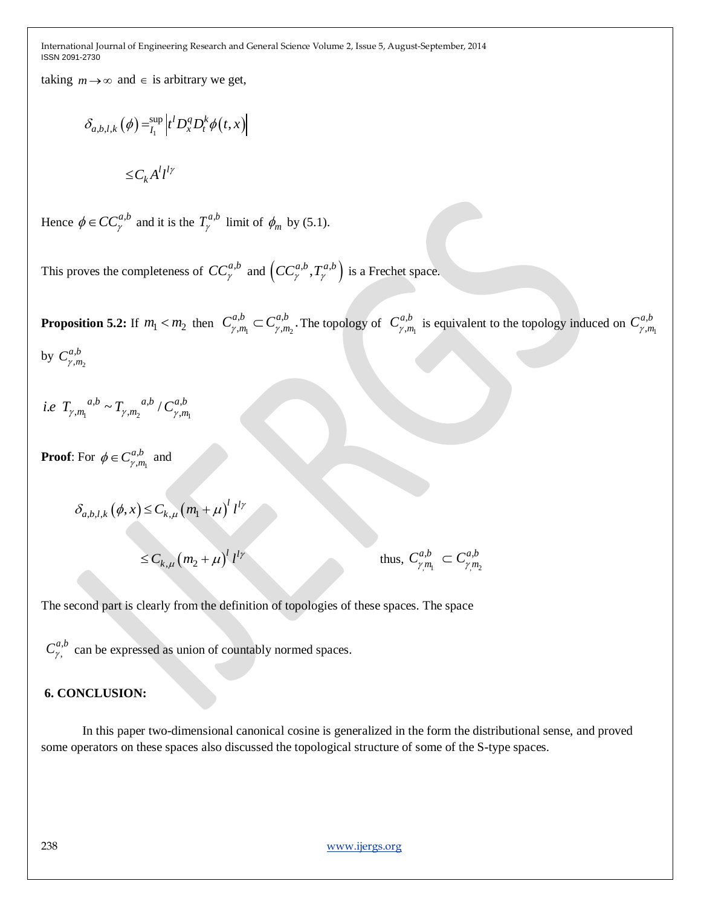taking  $m \rightarrow \infty$  and  $\in$  is arbitrary we get,

$$
\delta_{a,b,l,k}(\phi) = \sum_{l_1}^{\text{sup}} \left| t^l D_x^q D_t^k \phi(t, x) \right|
$$

$$
\leq C_k A^l l^{l\gamma}
$$

Hence  $\phi \in CC_{\gamma}^{a,b}$  and it is the  $T_{\gamma}^{a,b}$  limit of  $\phi_m$  by (5.1).

This proves the completeness of  $CC^{a,b}_{\gamma}$  and  $\left(CC^{a,b}_{\gamma}, T^{a,b}_{\gamma}\right)$  is a Frechet space.

**Proposition 5.2:** If  $m_1 < m_2$  then  $C^{a,b}_{\gamma,m_1} \subset C^{a,b}_{\gamma,m_2}$  $a, b, -c$  $_{\gamma,m_1}^{a,b} \subset C_{\gamma,m_2}^{a,b}.$  $C^{a,b}_{\gamma,m_1} \subset C^{a,b}_{\gamma,m_2}$ . The topology of  $C^{a,b}_{\gamma,m_1}$ , , *ab*  $C^{a,b}_{\gamma,m_1}$  is equivalent to the topology induced on  $C^{a,b}_{\gamma,m_1}$ , , *ab*  $C^{a,b}_{\gamma,m}$ 

by  $C^{a,b}_{\gamma,m_2}$ ,  $C^{a,b}_{\gamma,m}$ 

 $\mathbf{1}_{\gamma,m_1}$   $\mathbf{1}_{\gamma,m_2}$   $\mathbf{1}_{\gamma,m_1}$  $a, b \sim T$   $a, b \sim C^a$ *i.e*  $T_{\gamma, m_1}^{a,b} \sim T_{\gamma, m_2}^{a,b} / C_{\gamma, m_1}^{a,b}$ 

**Proof:** For  $\phi \in C^{a,b}_{\gamma,m_1}$ ,  $\phi \in C^{a,b}_{\gamma,m}$  and

$$
\delta_{a,b,l,k}(\phi, x) \le C_{k,\mu} (m_1 + \mu)^l l^{l\gamma}
$$
  

$$
\le C_{k,\mu} (m_2 + \mu)^l l^{l\gamma}
$$
 thus,

 $,m_1$   $\gamma, m_2$  $a,b = a$ <sup>a,b</sup>  $C^{a,b}_{\gamma m_1} \subset C^{a,b}_{\gamma m}$ 

The second part is clearly from the definition of topologies of these spaces. The space

,  $C^{a,b}_{\gamma}$  can be expressed as union of countably normed spaces.

### **6. CONCLUSION:**

In this paper two-dimensional canonical cosine is generalized in the form the distributional sense, and proved some operators on these spaces also discussed the topological structure of some of the S-type spaces.